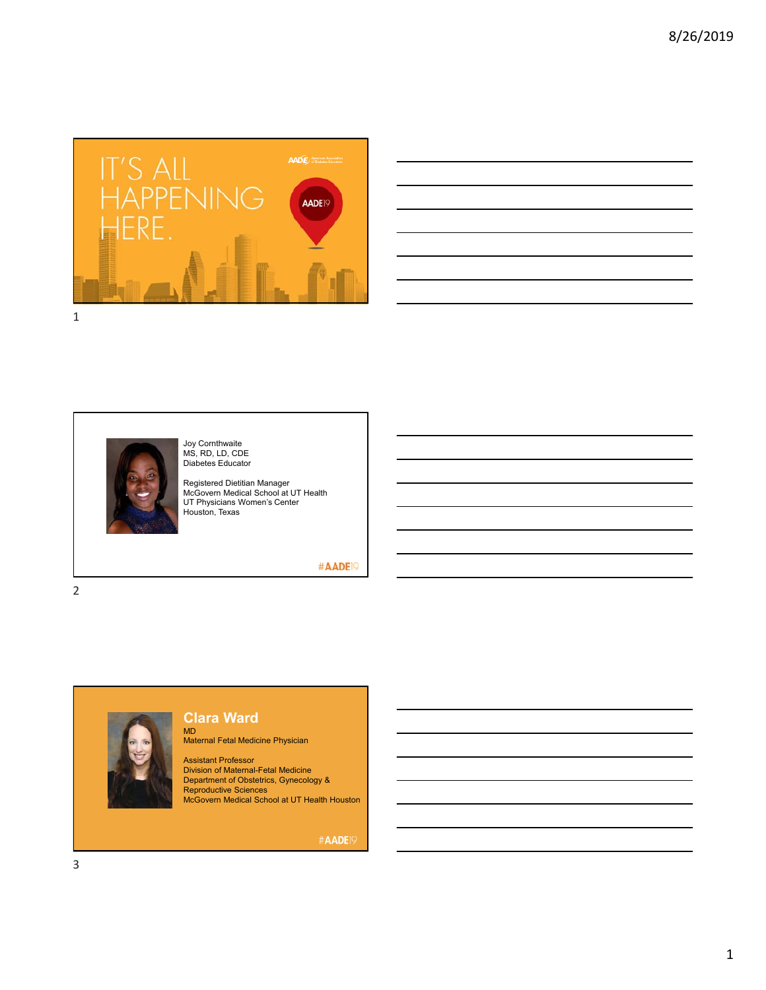

|  |  |  | <u> 1989 - Johann Stoff, amerikansk politiker (* 1989)</u>                                                            |  |
|--|--|--|-----------------------------------------------------------------------------------------------------------------------|--|
|  |  |  |                                                                                                                       |  |
|  |  |  | and the control of the control of the control of the control of the control of the control of the control of the      |  |
|  |  |  | <u> 1989 - Johann Stoff, amerikansk politiker (d. 1989)</u>                                                           |  |
|  |  |  | and the control of the control of the control of the control of the control of the control of the control of the      |  |
|  |  |  | <u> 1989 - Johann Stoff, amerikansk politiker (d. 1989)</u>                                                           |  |
|  |  |  | <u> 1989 - Johann Stoff, deutscher Stoff, der Stoff, der Stoff, der Stoff, der Stoff, der Stoff, der Stoff, der S</u> |  |
|  |  |  |                                                                                                                       |  |





Joy Cornthwaite MS, RD, LD, CDE Diabetes Educator

Registered Dietitian Manager McGovern Medical School at UT Health UT Physicians Women's Center Houston, Texas

#AADE<sup>19</sup>

2



### **Clara Ward**

MD Maternal Fetal Medicine Physician

Assistant Professor Division of Maternal-Fetal Medicine Department of Obstetrics, Gynecology & Reproductive Sciences McGovern Medical School at UT Health Houston

#AADE<sup>19</sup>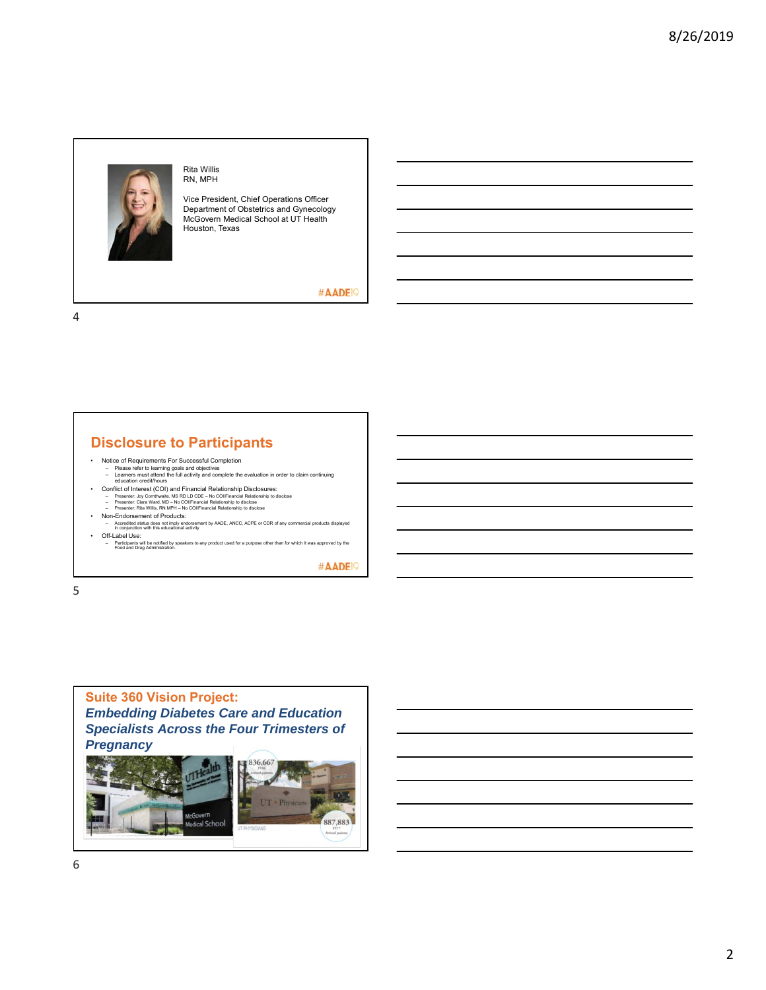

Rita Willis RN, MPH

Vice President, Chief Operations Officer Department of Obstetrics and Gynecology McGovern Medical School at UT Health Houston, Texas

#AADE<sup>19</sup>

4

### **Disclosure to Participants**

- 
- Notice of Requirements For Successful Completion<br>– Please refer to learning goals and objectives<br>– tearners must attend the full activity and complete the evaluation in order to claim continuing<br>– education credit/hours
- 
- 
- 
- Conflict of Interest (COI) and Financial Relationship Disclosures:<br>- Presenter. Joy Comthwaile, MS RD LD CDE No COUFinancial Relationship to disclose<br>- Presenter. Clara Ward, MD No COUFinancial Relationship to disclo • Off-Label Use:
- Participants will be notified by speakers to any product used for a purpose other than for which it was approved by the Food and Drug Administration.

#AADE<sup>19</sup>

5

# **Suite 360 Vision Project:**

*Embedding Diabetes Care and Education Specialists Across the Four Trimesters of Pregnancy*

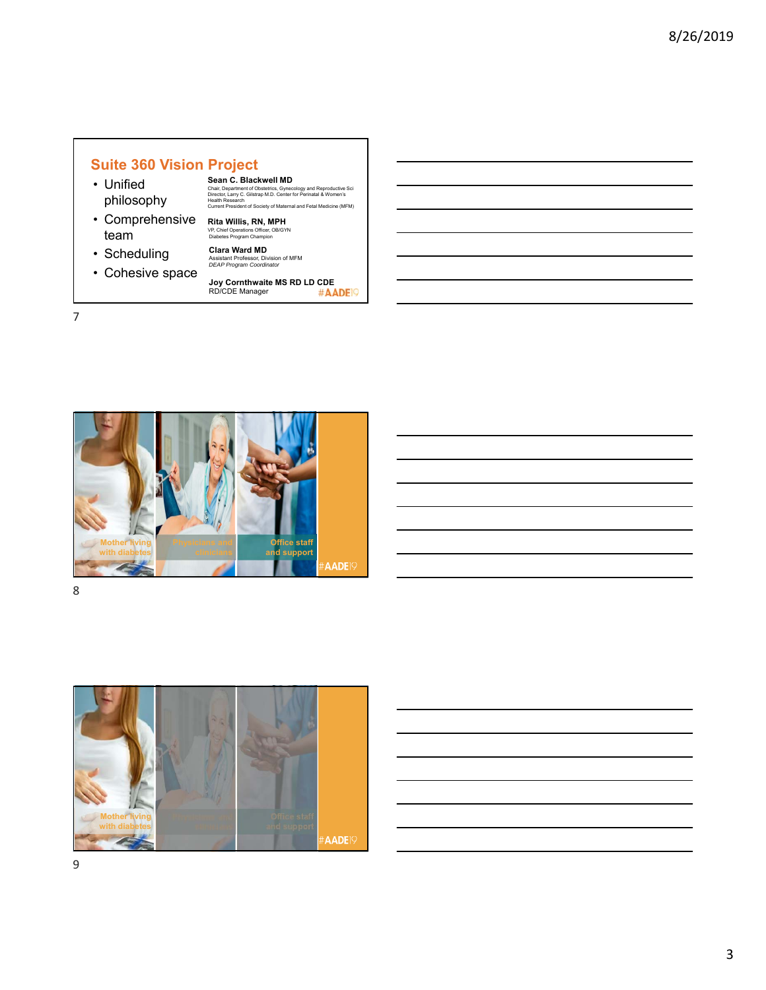### **Suite 360 Vision Project**

- Unified philosophy
- Comprehensive team
- Scheduling
- Cohesive space

**Rita Willis, RN, MPH**<br>VP, Chief Operations Officer, OB/GYN<br>Diabetes Program Champion **Clara Ward MD** Assistant Professor, Division of MFM *DEAP Program Coordinator*

 $\sf{Scan C. Blackwell MD}$ <br>Chair, Department of Obstetrics, Gynecology and Reproductive Sci<br>Director, Larry C. Gilstrap M.D. Center for Perinatal & Women's<br>Health Research Current President of Society of Maternal and Fetal Medicine (MFM)

**Joy Cornthwaite MS RD LD CDE** RD/CDE Manager

7



8

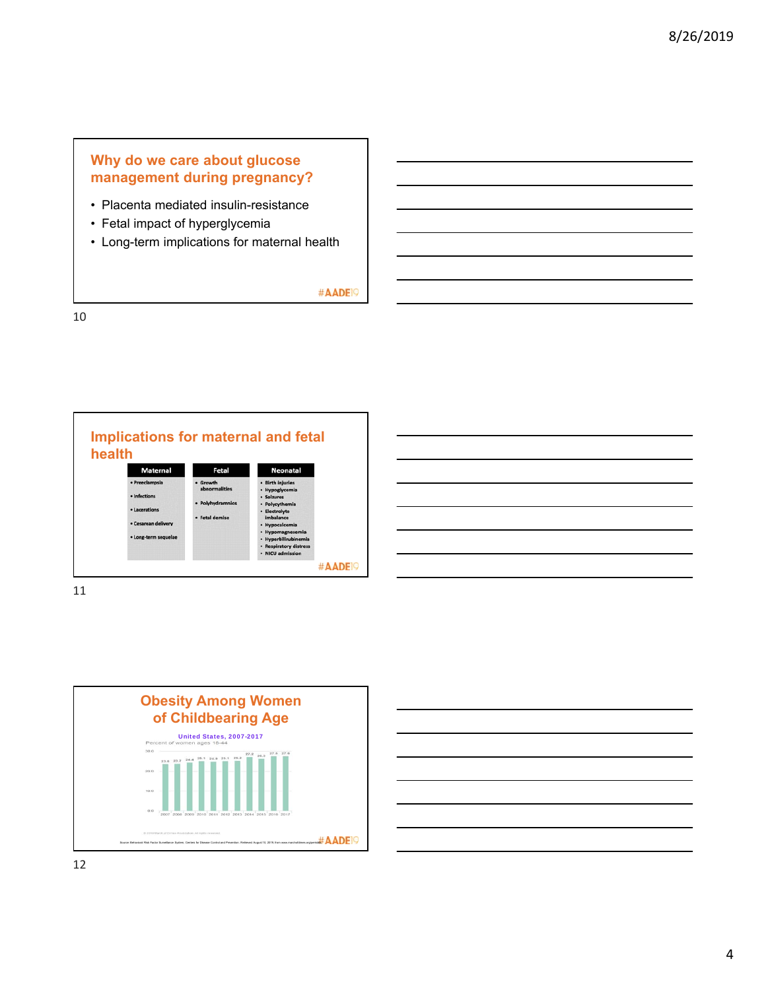### **Why do we care about glucose management during pregnancy?**

- Placenta mediated insulin-resistance
- Fetal impact of hyperglycemia
- Long-term implications for maternal health

#AADE<sup>19</sup>

10





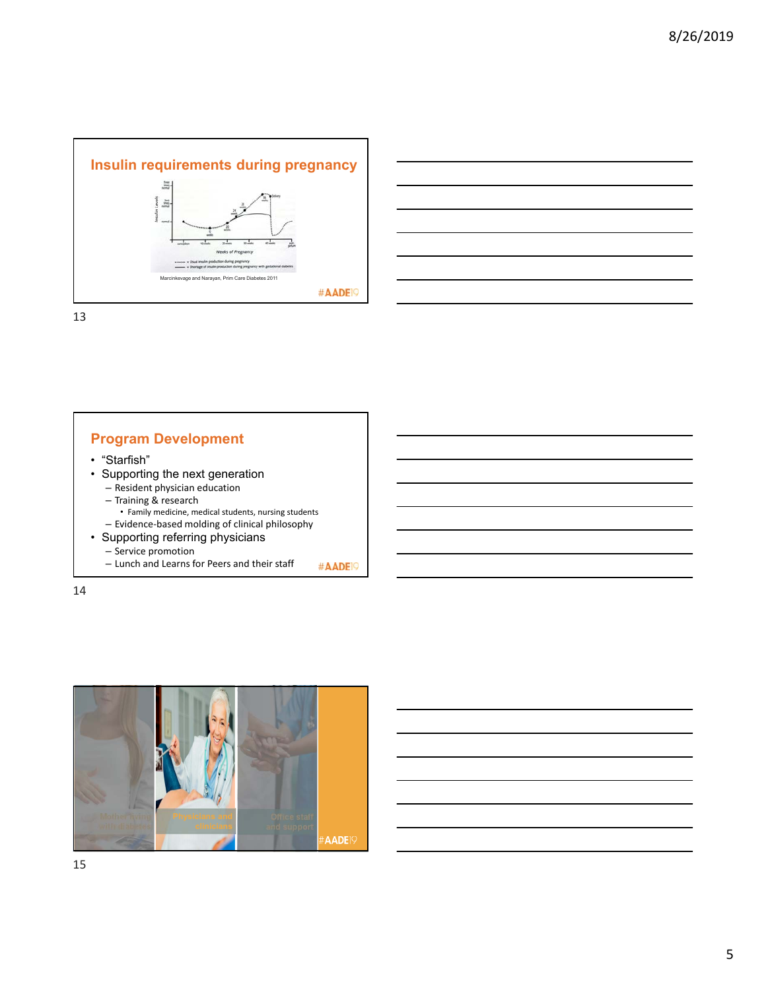



13

### **Program Development**

- "Starfish"
- Supporting the next generation – Resident physician education
	- Training & research
	- Family medicine, medical students, nursing students
	- Evidence‐based molding of clinical philosophy
- Supporting referring physicians
	- Service promotion
	- Lunch and Learns for Peers and their staff #AADE<sup>19</sup>

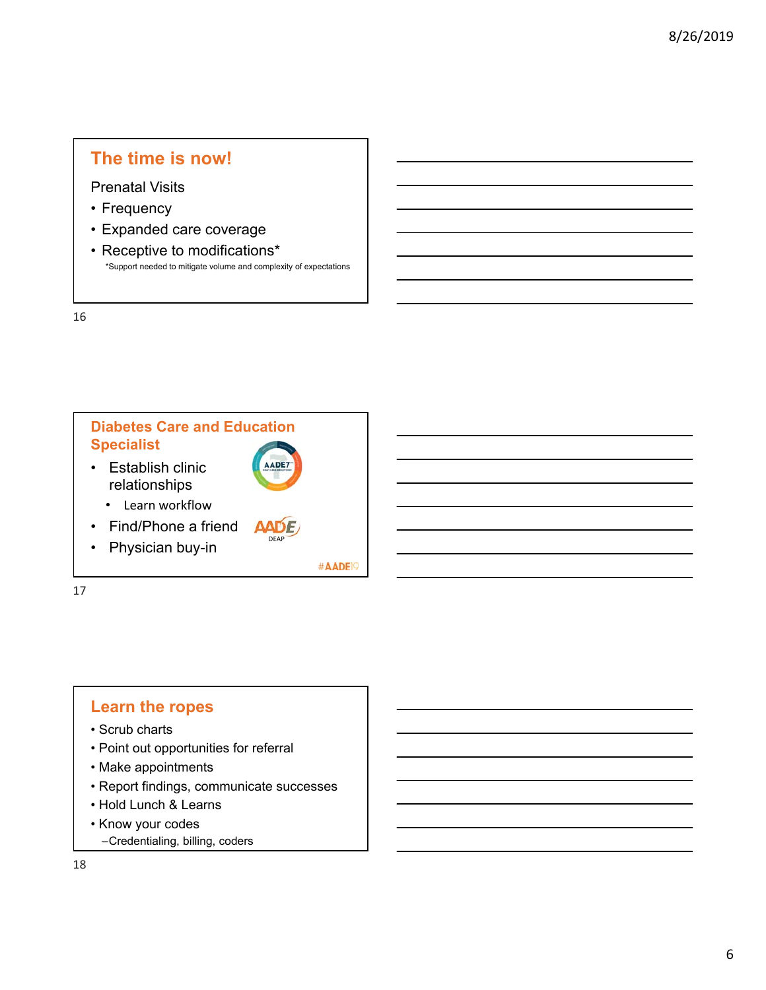# **The time is now!**

Prenatal Visits

- Frequency
- Expanded care coverage
- Receptive to modifications\* \*Support needed to mitigate volume and complexity of expectations

16



# **Learn the ropes**

- Scrub charts
- Point out opportunities for referral
- Make appointments
- Report findings, communicate successes
- Hold Lunch & Learns
- Know your codes
- –Credentialing, billing, coders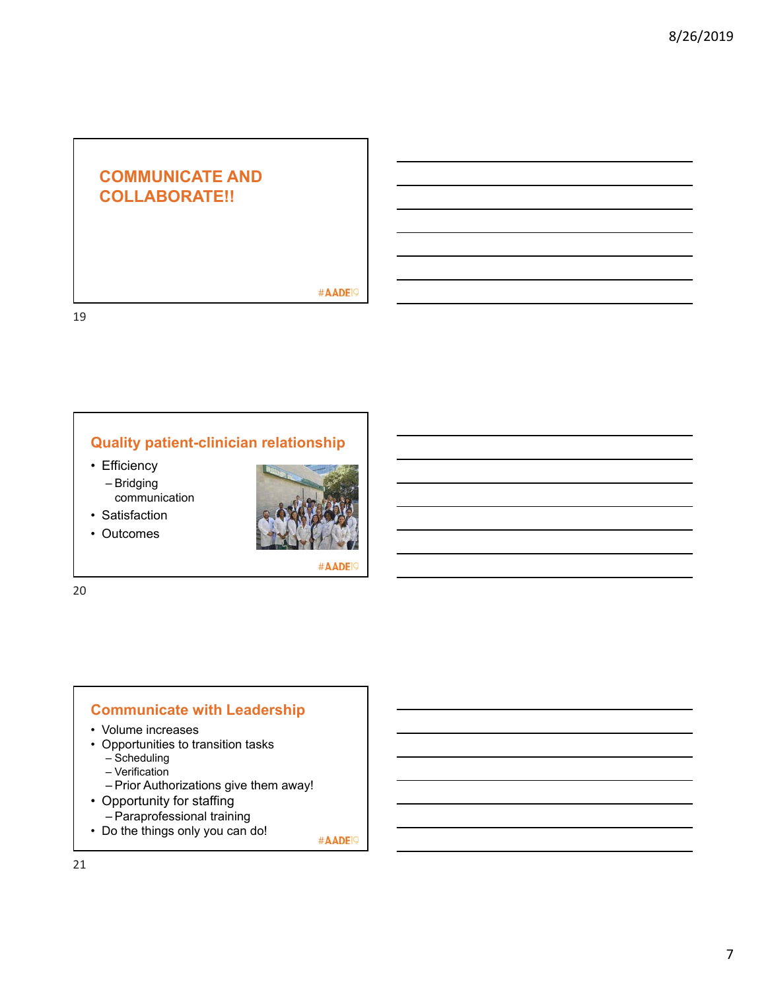# **COMMUNICATE AND COLLABORATE!!**

#AADE<sup>19</sup>

19

# **Quality patient-clinician relationship**

- Efficiency – Bridging
	- communication
- Satisfaction
- Outcomes



#AADE<sup>9</sup>

20

### **Communicate with Leadership**

- Volume increases
- Opportunities to transition tasks
	- Scheduling
	- Verification
- Prior Authorizations give them away!
- Opportunity for staffing
	- Paraprofessional training
- Do the things only you can do!

#AADE<sup>19</sup>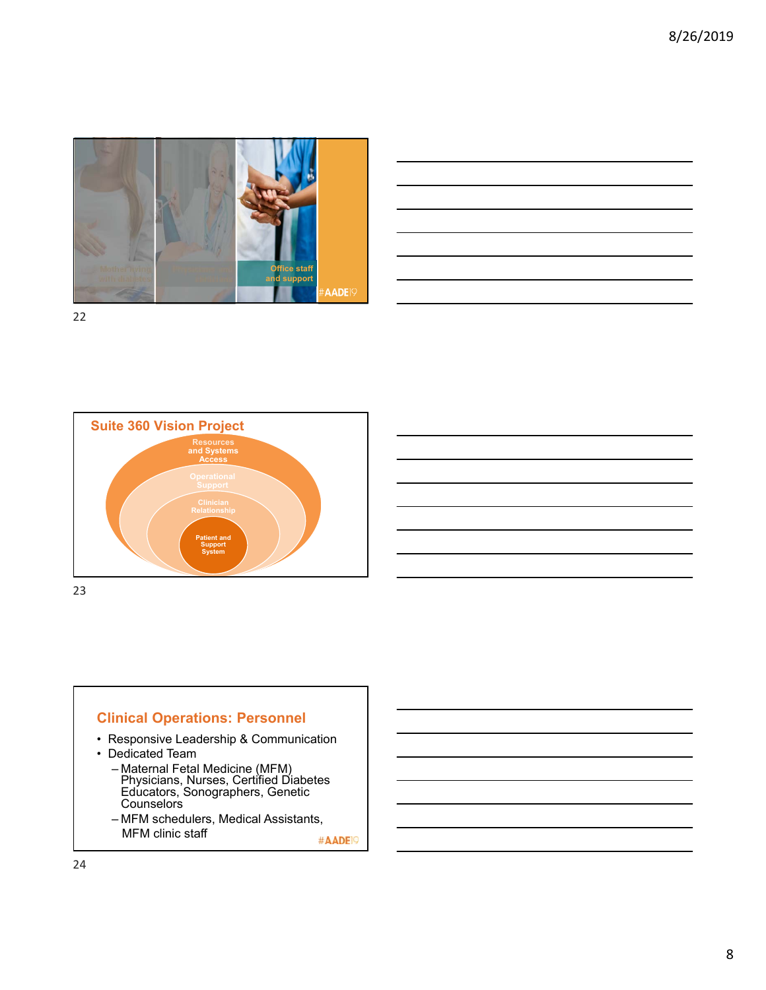



22



### **Clinical Operations: Personnel**

- Responsive Leadership & Communication
- Dedicated Team
	- Maternal Fetal Medicine (MFM) Physicians, Nurses, Certified Diabetes Educators, Sonographers, Genetic Counselors
	- MFM schedulers, Medical Assistants, MFM clinic staff

#AADE<sup>19</sup>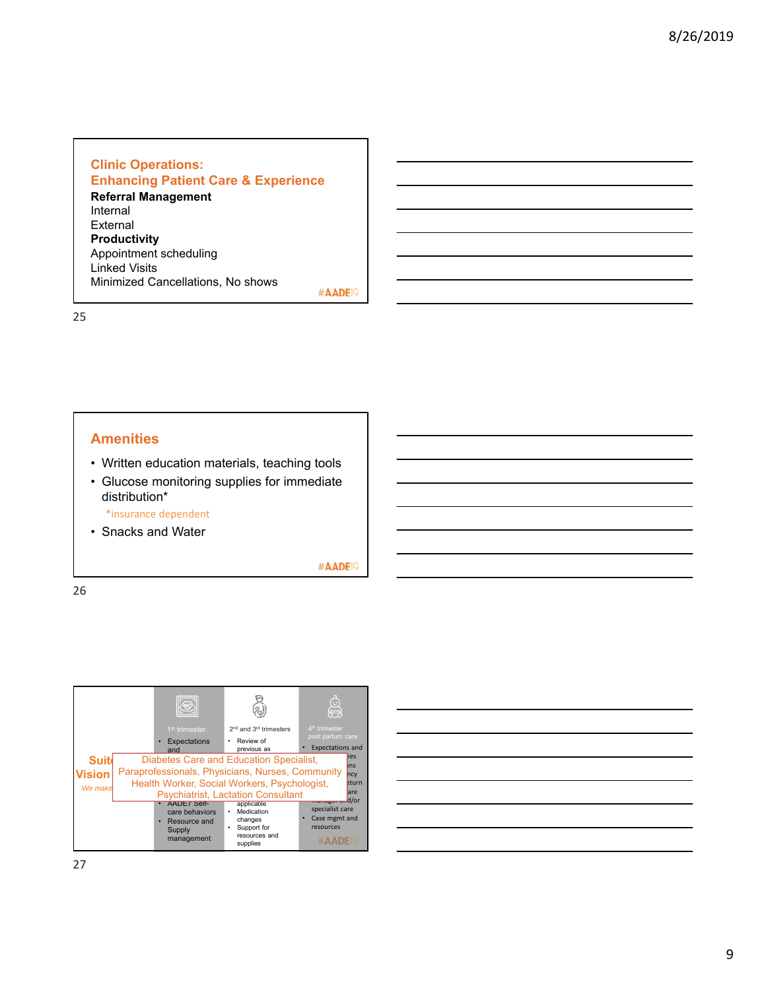#### **Clinic Operations: Enhancing Patient Care & Experience Referral Management**  Internal External **Productivity** Appointment scheduling Linked Visits Minimized Cancellations, No shows

#AADE<sup>19</sup>

25

#### **Amenities**

- Written education materials, teaching tools
- Glucose monitoring supplies for immediate distribution\*

\*insurance dependent

• Snacks and Water

#AADE<sup>19</sup>

| <b>Suit</b><br>Vision<br>We make | 1 <sup>st</sup> trimester<br>Expectations<br>and                           | 2 <sup>nd</sup> and 3 <sup>rd</sup> trimesters<br>Review of<br>previous as<br>Diabetes Care and Education Specialist,<br>Paraprofessionals, Physicians, Nurses, Community<br>Health Worker, Social Workers, Psychologist,<br><b>Psychiatrist, Lactation Consultant</b> | $\leftrightarrow$<br>4 <sup>th</sup> trimester<br>post partum care<br><b>Expectations and</b><br>lies<br>$b$ ns<br>ncy<br>eturn<br>lare |
|----------------------------------|----------------------------------------------------------------------------|------------------------------------------------------------------------------------------------------------------------------------------------------------------------------------------------------------------------------------------------------------------------|-----------------------------------------------------------------------------------------------------------------------------------------|
|                                  | AADE/ Self-<br>care behaviors<br>Resource and<br>٠<br>Supply<br>management | applicable<br>Medication<br>changes<br>Support for<br>resources and<br>supplies                                                                                                                                                                                        | manager und/or<br>specialist care<br>Case mgmt and<br>resources<br>#AADE <sub>I9</sub>                                                  |